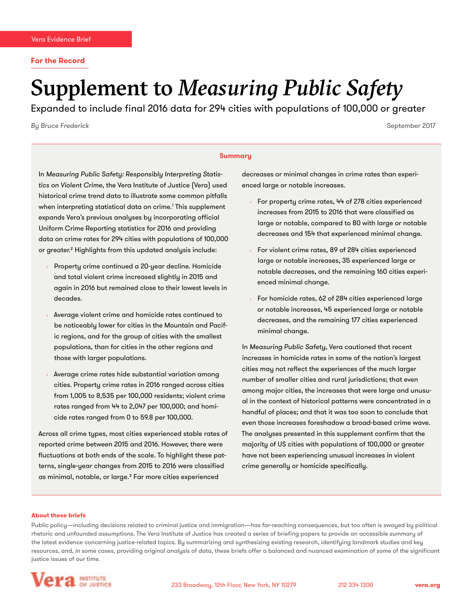# Supplement to *Measuring Public Safety*

Expanded to include final 2016 data for 294 cities with populations of 100,000 or greater

*By Bruce Frederick* September 2017

#### **Summary**

In *Measuring Public Safety: Responsibly Interpreting Statistics on Violent Crime*, the Vera Institute of Justice (Vera) used historical crime trend data to illustrate some common pitfalls when interpreting statistical data on crime.1 This supplement expands Vera's previous analyses by incorporating official Uniform Crime Reporting statistics for 2016 and providing data on crime rates for 294 cities with populations of 100,000 or greater.2 Highlights from this updated analysis include:

- Property crime continued a 20-year decline. Homicide and total violent crime increased slightly in 2015 and again in 2016 but remained close to their lowest levels in decades.
- Average violent crime and homicide rates continued to be noticeably lower for cities in the Mountain and Pacific regions, and for the group of cities with the smallest populations, than for cities in the other regions and those with larger populations.
- Average crime rates hide substantial variation among cities. Property crime rates in 2016 ranged across cities from 1,005 to 8,535 per 100,000 residents; violent crime rates ranged from 44 to 2,047 per 100,000; and homicide rates ranged from 0 to 59.8 per 100,000.

Across all crime types, most cities experienced stable rates of reported crime between 2015 and 2016. However, there were fluctuations at both ends of the scale. To highlight these patterns, single-year changes from 2015 to 2016 were classified as minimal, notable, or large.3 Far more cities experienced

decreases or minimal changes in crime rates than experienced large or notable increases.

- For property crime rates, 44 of 278 cities experienced increases from 2015 to 2016 that were classified as large or notable, compared to 80 with large or notable decreases and 154 that experienced minimal change.
- For violent crime rates, 89 of 284 cities experienced large or notable increases, 35 experienced large or notable decreases, and the remaining 160 cities experienced minimal change.
- › For homicide rates, 62 of 284 cities experienced large or notable increases, 45 experienced large or notable decreases, and the remaining 177 cities experienced minimal change.

In *Measuring Public Safety*, Vera cautioned that recent increases in homicide rates in some of the nation's largest cities may not reflect the experiences of the much larger number of smaller cities and rural jurisdictions; that even among major cities, the increases that were large and unusual in the context of historical patterns were concentrated in a handful of places; and that it was too soon to conclude that even those increases foreshadow a broad-based crime wave. The analyses presented in this supplement confirm that the majority of US cities with populations of 100,000 or greater have not been experiencing unusual increases in violent crime generally or homicide specifically.

#### **About these briefs**

Public policy—including decisions related to criminal justice and immigration—has far-reaching consequences, but too often is swayed by political rhetoric and unfounded assumptions. The Vera Institute of Justice has created a series of briefing papers to provide an accessible summary of the latest evidence concerning justice-related topics. By summarizing and synthesizing existing research, identifying landmark studies and key resources, and, in some cases, providing original analysis of data, these briefs offer a balanced and nuanced examination of some of the significant justice issues of our time.

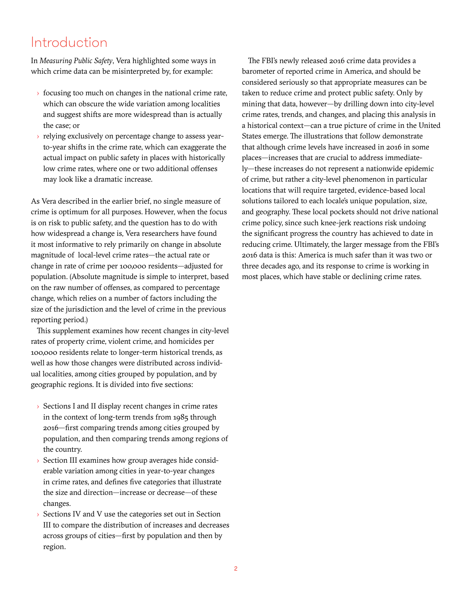# Introduction

In *Measuring Public Safety*, Vera highlighted some ways in which crime data can be misinterpreted by, for example:

- $\rightarrow$  focusing too much on changes in the national crime rate, which can obscure the wide variation among localities and suggest shifts are more widespread than is actually the case; or
- › relying exclusively on percentage change to assess yearto-year shifts in the crime rate, which can exaggerate the actual impact on public safety in places with historically low crime rates, where one or two additional offenses may look like a dramatic increase.

As Vera described in the earlier brief, no single measure of crime is optimum for all purposes. However, when the focus is on risk to public safety, and the question has to do with how widespread a change is, Vera researchers have found it most informative to rely primarily on change in absolute magnitude of local-level crime rates—the actual rate or change in rate of crime per 100,000 residents—adjusted for population. (Absolute magnitude is simple to interpret, based on the raw number of offenses, as compared to percentage change, which relies on a number of factors including the size of the jurisdiction and the level of crime in the previous reporting period.)

This supplement examines how recent changes in city-level rates of property crime, violent crime, and homicides per 100,000 residents relate to longer-term historical trends, as well as how those changes were distributed across individual localities, among cities grouped by population, and by geographic regions. It is divided into five sections:

- › Sections I and II display recent changes in crime rates in the context of long-term trends from 1985 through 2016—first comparing trends among cities grouped by population, and then comparing trends among regions of the country.
- › Section III examines how group averages hide considerable variation among cities in year-to-year changes in crime rates, and defines five categories that illustrate the size and direction—increase or decrease—of these changes.
- Sections IV and V use the categories set out in Section III to compare the distribution of increases and decreases across groups of cities—first by population and then by region.

The FBI's newly released 2016 crime data provides a barometer of reported crime in America, and should be considered seriously so that appropriate measures can be taken to reduce crime and protect public safety. Only by mining that data, however—by drilling down into city-level crime rates, trends, and changes, and placing this analysis in a historical context—can a true picture of crime in the United States emerge. The illustrations that follow demonstrate that although crime levels have increased in 2016 in some places—increases that are crucial to address immediately—these increases do not represent a nationwide epidemic of crime, but rather a city-level phenomenon in particular locations that will require targeted, evidence-based local solutions tailored to each locale's unique population, size, and geography. These local pockets should not drive national crime policy, since such knee-jerk reactions risk undoing the significant progress the country has achieved to date in reducing crime. Ultimately, the larger message from the FBI's 2016 data is this: America is much safer than it was two or three decades ago, and its response to crime is working in most places, which have stable or declining crime rates.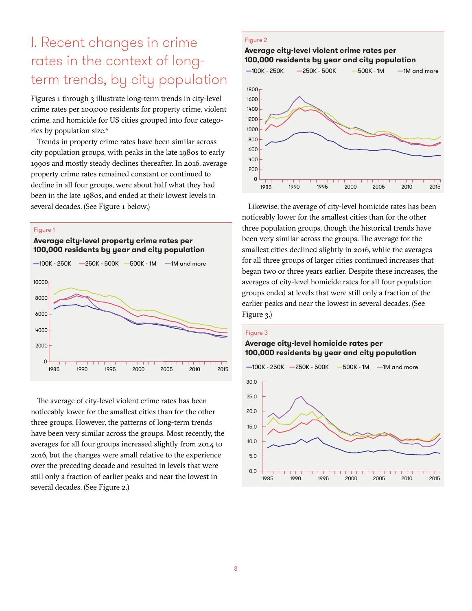# I. Recent changes in crime rates in the context of longterm trends, by city population

Figures 1 through 3 illustrate long-term trends in city-level crime rates per 100,000 residents for property crime, violent crime, and homicide for US cities grouped into four categories by population size.4

Trends in property crime rates have been similar across city population groups, with peaks in the late 1980s to early 1990s and mostly steady declines thereafter. In 2016, average property crime rates remained constant or continued to decline in all four groups, were about half what they had been in the late 1980s, and ended at their lowest levels in several decades. (See Figure 1 below.)

#### Figure 1

#### **Average city-level property crime rates per 100,000 residents by year and city population**



The average of city-level violent crime rates has been noticeably lower for the smallest cities than for the other three groups. However, the patterns of long-term trends have been very similar across the groups. Most recently, the averages for all four groups increased slightly from 2014 to 2016, but the changes were small relative to the experience over the preceding decade and resulted in levels that were still only a fraction of earlier peaks and near the lowest in several decades. (See Figure 2.)

#### Figure 2

# **—**100K - 250K **—**250K - 500K **—**500K - 1M **—**1M and more **Average city-level violent crime rates per 100,000 residents by year and city population**



Likewise, the average of city-level homicide rates has been noticeably lower for the smallest cities than for the other three population groups, though the historical trends have been very similar across the groups. The average for the smallest cities declined slightly in 2016, while the averages for all three groups of larger cities continued increases that began two or three years earlier. Despite these increases, the averages of city-level homicide rates for all four population groups ended at levels that were still only a fraction of the earlier peaks and near the lowest in several decades. (See Figure 3.)

#### Figure 3

#### **Average city-level homicide rates per 100,000 residents by year and city population**

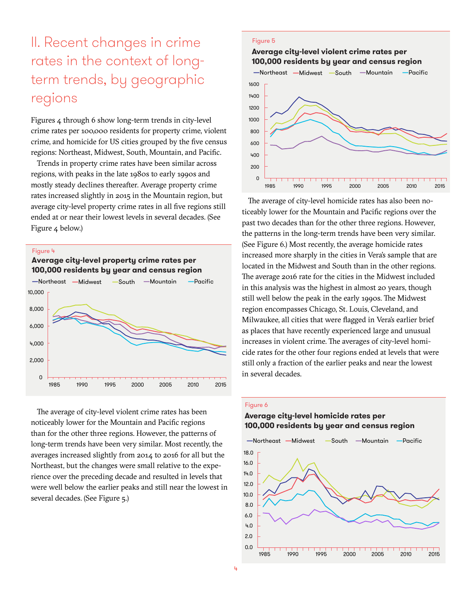# II. Recent changes in crime rates in the context of longterm trends, by geographic regions

Figures 4 through 6 show long-term trends in city-level crime rates per 100,000 residents for property crime, violent crime, and homicide for US cities grouped by the five census regions: Northeast, Midwest, South, Mountain, and Pacific.

Trends in property crime rates have been similar across regions, with peaks in the late 1980s to early 1990s and mostly steady declines thereafter. Average property crime rates increased slightly in 2015 in the Mountain region, but average city-level property crime rates in all five regions still ended at or near their lowest levels in several decades. (See Figure 4 below.)

#### Figure 4

**Average city-level property crime rates per 100,000 residents by year and census region**



The average of city-level violent crime rates has been noticeably lower for the Mountain and Pacific regions than for the other three regions. However, the patterns of long-term trends have been very similar. Most recently, the averages increased slightly from 2014 to 2016 for all but the Northeast, but the changes were small relative to the experience over the preceding decade and resulted in levels that were well below the earlier peaks and still near the lowest in several decades. (See Figure 5.)

#### Figure 5

#### **Average city-level violent crime rates per 100,000 residents by year and census region**



The average of city-level homicide rates has also been noticeably lower for the Mountain and Pacific regions over the past two decades than for the other three regions. However, the patterns in the long-term trends have been very similar. (See Figure 6.) Most recently, the average homicide rates increased more sharply in the cities in Vera's sample that are located in the Midwest and South than in the other regions. The average 2016 rate for the cities in the Midwest included in this analysis was the highest in almost 20 years, though still well below the peak in the early 1990s. The Midwest region encompasses Chicago, St. Louis, Cleveland, and Milwaukee, all cities that were flagged in Vera's earlier brief as places that have recently experienced large and unusual increases in violent crime. The averages of city-level homicide rates for the other four regions ended at levels that were still only a fraction of the earlier peaks and near the lowest in several decades.

#### Figure 6

#### **Average city-level homicide rates per 100,000 residents by year and census region**

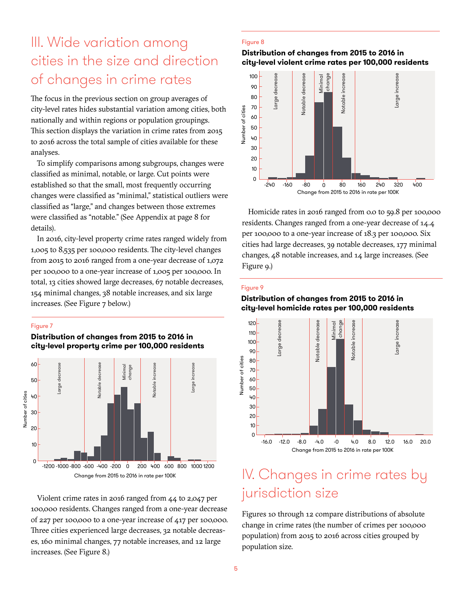# III. Wide variation among cities in the size and direction of changes in crime rates

The focus in the previous section on group averages of city-level rates hides substantial variation among cities, both nationally and within regions or population groupings. This section displays the variation in crime rates from 2015 to 2016 across the total sample of cities available for these analyses.

To simplify comparisons among subgroups, changes were classified as minimal, notable, or large. Cut points were established so that the small, most frequently occurring changes were classified as "minimal," statistical outliers were classified as "large," and changes between those extremes were classified as "notable." (See Appendix at page 8 for details).

In 2016, city-level property crime rates ranged widely from 1,005 to 8,535 per 100,000 residents. The city-level changes from 2015 to 2016 ranged from a one-year decrease of 1,072 per 100,000 to a one-year increase of 1,005 per 100,000. In total, 13 cities showed large decreases, 67 notable decreases, 154 minimal changes, 38 notable increases, and six large increases. (See Figure 7 below.)

#### Figure 7

**Distribution of changes from 2015 to 2016 in city-level property crime per 100,000 residents**



Violent crime rates in 2016 ranged from 44 to 2,047 per 100,000 residents. Changes ranged from a one-year decrease of 227 per 100,000 to a one-year increase of 417 per 100,000. Three cities experienced large decreases, 32 notable decreases, 160 minimal changes, 77 notable increases, and 12 large increases. (See Figure 8.)

#### Figure 8

#### **Distribution of changes from 2015 to 2016 in city-level violent crime rates per 100,000 residents**



Homicide rates in 2016 ranged from 0.0 to 59.8 per 100,000 residents. Changes ranged from a one-year decrease of 14.4 per 100,000 to a one-year increase of 18.3 per 100,000. Six cities had large decreases, 39 notable decreases, 177 minimal changes, 48 notable increases, and 14 large increases. (See Figure 9.)

#### Figure 9

#### **Distribution of changes from 2015 to 2016 in city-level homicide rates per 100,000 residents**



# IV. Changes in crime rates by jurisdiction size

Figures 10 through 12 compare distributions of absolute change in crime rates (the number of crimes per 100,000 population) from 2015 to 2016 across cities grouped by population size.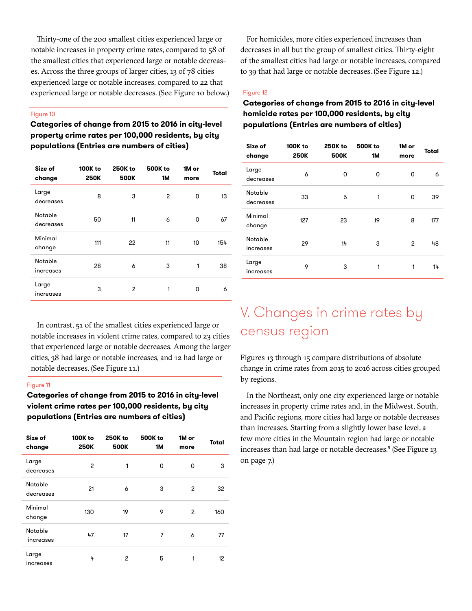Thirty-one of the 200 smallest cities experienced large or notable increases in property crime rates, compared to 58 of the smallest cities that experienced large or notable decreases. Across the three groups of larger cities, 13 of 78 cities experienced large or notable increases, compared to 22 that experienced large or notable decreases. (See Figure 10 below.)

#### Figure 10

**Categories of change from 2015 to 2016 in city-level property crime rates per 100,000 residents, by city populations (Entries are numbers of cities)**

| Size of<br>change           | 100K to<br><b>250K</b> | <b>250K to</b><br><b>500K</b> | <b>500K</b> to<br>1М | 1M or<br>more | Total |
|-----------------------------|------------------------|-------------------------------|----------------------|---------------|-------|
| Large<br>decreases          | 8                      | 3                             | 2                    | 0             | 13    |
| Notable<br>decreases        | 50                     | 11                            | 6                    | 0             | 67    |
| Minimal<br>change           | 111                    | 22                            | 11                   | 10            | 154   |
| <b>Notable</b><br>increases | 28                     | 6                             | 3                    | 1             | 38    |
| Large<br>increases          | 3                      | $\overline{c}$                | 1                    | 0             | 6     |

In contrast, 51 of the smallest cities experienced large or notable increases in violent crime rates, compared to 23 cities that experienced large or notable decreases. Among the larger cities, 38 had large or notable increases, and 12 had large or notable decreases. (See Figure 11.)

#### Figure 11

### **Categories of change from 2015 to 2016 in city-level violent crime rates per 100,000 residents, by city populations (Entries are numbers of cities)**

| Size of<br>change    | 100K to<br><b>250K</b> | 250K to<br><b>500K</b> | <b>500K</b> to<br>1М | 1M or<br>more | Total |
|----------------------|------------------------|------------------------|----------------------|---------------|-------|
| Large<br>decreases   | 2                      | 1                      | 0                    | 0             | 3     |
| Notable<br>decreases | 21                     | 6                      | 3                    | 2             | 32    |
| Minimal<br>change    | 130                    | 19                     | 9                    | 2             | 160   |
| Notable<br>increases | 47                     | 17                     | 7                    | 6             | 77    |
| Large<br>increases   | 4                      | 2                      | 5                    | 1             | 12    |

For homicides, more cities experienced increases than decreases in all but the group of smallest cities. Thirty-eight of the smallest cities had large or notable increases, compared to 39 that had large or notable decreases. (See Figure 12.)

#### Figure 12

### **Categories of change from 2015 to 2016 in city-level homicide rates per 100,000 residents, by city populations (Entries are numbers of cities)**

| Size of<br>change    | <b>100K to</b><br><b>250K</b> | 250K to<br><b>500K</b> | <b>500K</b> to<br>1М | 1M or<br>more | Total |
|----------------------|-------------------------------|------------------------|----------------------|---------------|-------|
| Large<br>decreases   | 6                             | 0                      | 0                    | 0             | 6     |
| Notable<br>decreases | 33                            | 5                      | 1                    | 0             | 39    |
| Minimal<br>change    | 127                           | 23                     | 19                   | 8             | 177   |
| Notable<br>increases | 29                            | 14                     | 3                    | 2             | 48    |
| Large<br>increases   | 9                             | 3                      | 1                    | 1             | 14    |

# V. Changes in crime rates by census region

Figures 13 through 15 compare distributions of absolute change in crime rates from 2015 to 2016 across cities grouped by regions.

In the Northeast, only one city experienced large or notable increases in property crime rates and, in the Midwest, South, and Pacific regions, more cities had large or notable decreases than increases. Starting from a slightly lower base level, a few more cities in the Mountain region had large or notable increases than had large or notable decreases.<sup>5</sup> (See Figure 13) on page 7.)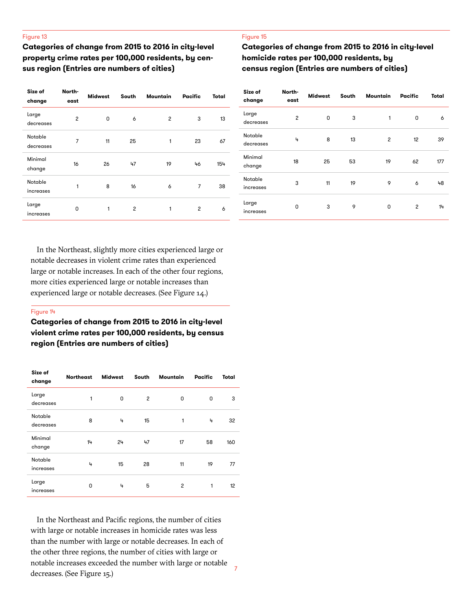#### Figure 13

**Categories of change from 2015 to 2016 in city-level property crime rates per 100,000 residents, by census region (Entries are numbers of cities)**

| Size of<br>change    | North-<br>east | <b>Midwest</b> | South          | Mountain       | Pacific        | Total |
|----------------------|----------------|----------------|----------------|----------------|----------------|-------|
| Large<br>decreases   | $\overline{c}$ | 0              | 6              | $\overline{c}$ | 3              | 13    |
| Notable<br>decreases | 7              | 11             | 25             | 1              | 23             | 67    |
| Minimal<br>change    | 16             | 26             | 47             | 19             | 46             | 154   |
| Notable<br>increases |                | 8              | 16             | 6              | 7              | 38    |
| Large<br>increases   | 0              | 1              | $\overline{c}$ | 1              | $\overline{c}$ | 6     |

#### Figure 15

**Categories of change from 2015 to 2016 in city-level homicide rates per 100,000 residents, by census region (Entries are numbers of cities)**

| Size of<br>change    | North-<br>east | <b>Midwest</b> | South | Mountain | Pacific | Total |
|----------------------|----------------|----------------|-------|----------|---------|-------|
| Large<br>decreases   | $\overline{c}$ | 0              | 3     | 1        | 0       | 6     |
| Notable<br>decreases | 4              | 8              | 13    | 2        | 12      | 39    |
| Minimal<br>change    | 18             | 25             | 53    | 19       | 62      | 177   |
| Notable<br>increases | 3              | 11             | 19    | 9        | 6       | 48    |
| Large<br>increases   | 0              | 3              | 9     | 0        | 2       | 14    |

In the Northeast, slightly more cities experienced large or notable decreases in violent crime rates than experienced large or notable increases. In each of the other four regions, more cities experienced large or notable increases than experienced large or notable decreases. (See Figure 14.)

#### Figure 14

**Categories of change from 2015 to 2016 in city-level violent crime rates per 100,000 residents, by census region (Entries are numbers of cities)**

| Size of<br>change    | <b>Northeast</b> | <b>Midwest</b> | South | Mountain | Pacific | Total |
|----------------------|------------------|----------------|-------|----------|---------|-------|
| Large<br>decreases   | 1                | 0              | 2     | 0        | 0       | 3     |
| Notable<br>decreases | 8                | 4              | 15    | 1        | 4       | 32    |
| Minimal<br>change    | 14               | 24             | 47    | 17       | 58      | 160   |
| Notable<br>increases | 4                | 15             | 28    | 11       | 19      | 77    |
| Large<br>increases   | 0                | 4              | 5     | 2        | 1       | 12    |

In the Northeast and Pacific regions, the number of cities with large or notable increases in homicide rates was less than the number with large or notable decreases. In each of the other three regions, the number of cities with large or notable increases exceeded the number with large or notable decreases. (See Figure 15.)

7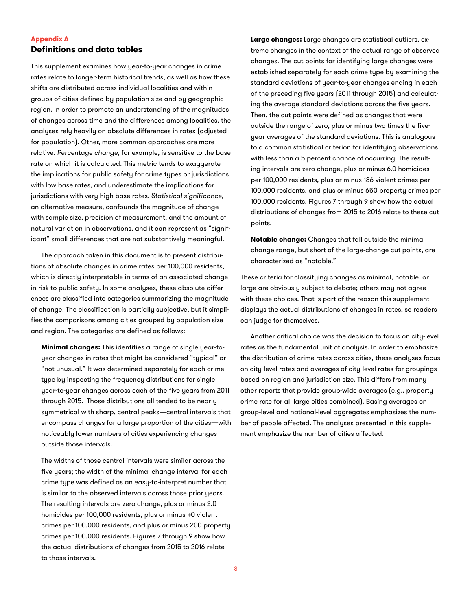#### **Appendix A Definitions and data tables**

This supplement examines how year-to-year changes in crime rates relate to longer-term historical trends, as well as how these shifts are distributed across individual localities and within groups of cities defined by population size and by geographic region. In order to promote an understanding of the magnitudes of changes across time and the differences among localities, the analyses rely heavily on absolute differences in rates (adjusted for population). Other, more common approaches are more relative. *Percentage change*, for example, is sensitive to the base rate on which it is calculated. This metric tends to exaggerate the implications for public safety for crime types or jurisdictions with low base rates, and underestimate the implications for jurisdictions with very high base rates. Statistical significance, an alternative measure, confounds the magnitude of change with sample size, precision of measurement, and the amount of natural variation in observations, and it can represent as "significant" small differences that are not substantively meaningful.

The approach taken in this document is to present distributions of absolute changes in crime rates per 100,000 residents, which is directly interpretable in terms of an associated change in risk to public safety. In some analyses, these absolute differences are classified into categories summarizing the magnitude of change. The classification is partially subjective, but it simplifies the comparisons among cities grouped by population size and region. The categories are defined as follows:

**Minimal changes:** This identifies a range of single year-toyear changes in rates that might be considered "typical" or "not unusual." It was determined separately for each crime type by inspecting the frequency distributions for single year-to-year changes across each of the five years from 2011 through 2015. Those distributions all tended to be nearly symmetrical with sharp, central peaks—central intervals that encompass changes for a large proportion of the cities—with noticeably lower numbers of cities experiencing changes outside those intervals.

The widths of those central intervals were similar across the five years; the width of the minimal change interval for each crime type was defined as an easy-to-interpret number that is similar to the observed intervals across those prior years. The resulting intervals are zero change, plus or minus 2.0 homicides per 100,000 residents, plus or minus 40 violent crimes per 100,000 residents, and plus or minus 200 property crimes per 100,000 residents. Figures 7 through 9 show how the actual distributions of changes from 2015 to 2016 relate to those intervals.

**Large changes:** Large changes are statistical outliers, extreme changes in the context of the actual range of observed changes. The cut points for identifying large changes were established separately for each crime type by examining the standard deviations of year-to-year changes ending in each of the preceding five years (2011 through 2015) and calculating the average standard deviations across the five years. Then, the cut points were defined as changes that were outside the range of zero, plus or minus two times the fiveyear averages of the standard deviations. This is analogous to a common statistical criterion for identifying observations with less than a 5 percent chance of occurring. The resulting intervals are zero change, plus or minus 6.0 homicides per 100,000 residents, plus or minus 136 violent crimes per 100,000 residents, and plus or minus 650 property crimes per 100,000 residents. Figures 7 through 9 show how the actual distributions of changes from 2015 to 2016 relate to these cut points.

**Notable change:** Changes that fall outside the minimal change range, but short of the large-change cut points, are characterized as "notable."

These criteria for classifying changes as minimal, notable, or large are obviously subject to debate; others may not agree with these choices. That is part of the reason this supplement displays the actual distributions of changes in rates, so readers can judge for themselves.

Another critical choice was the decision to focus on city-level rates as the fundamental unit of analysis. In order to emphasize the distribution of crime rates across cities, these analyses focus on city-level rates and averages of city-level rates for groupings based on region and jurisdiction size. This differs from many other reports that provide group-wide averages (e.g., property crime rate for all large cities combined). Basing averages on group-level and national-level aggregates emphasizes the number of people affected. The analyses presented in this supplement emphasize the number of cities affected.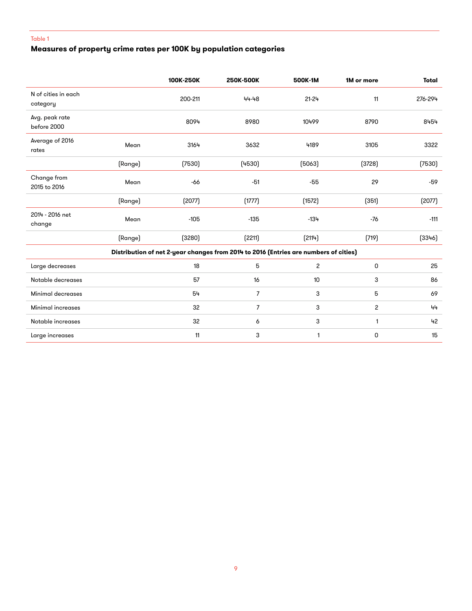# **Measures of property crime rates per 100K by population categories**

|                                 |         | 100K-250K | 250K-500K                                                                            | 500K-1M                 | 1M or more     | <b>Total</b> |
|---------------------------------|---------|-----------|--------------------------------------------------------------------------------------|-------------------------|----------------|--------------|
| N of cities in each<br>category |         | 200-211   | 44-48                                                                                | $21 - 24$               | 11             | 276-294      |
| Avg. peak rate<br>before 2000   |         | 8094      | 8980                                                                                 | 10499                   | 8790           | 8454         |
| Average of 2016<br>rates        | Mean    | 3164      | 3632                                                                                 | 4189                    | 3105           | 3322         |
|                                 | (Range) | (7530)    | (4530)                                                                               | (5063)                  | (3728)         | (7530)       |
| Change from<br>2015 to 2016     | Mean    | $-66$     | $-51$                                                                                | $-55$                   | 29             | $-59$        |
|                                 | (Range) | (2077)    | (1777)                                                                               | (1572)                  | (351)          | (2077)       |
| 2014 - 2016 net<br>change       | Mean    | $-105$    | $-135$                                                                               | $-134$                  | $-76$          | $-111$       |
|                                 | (Range) | (3280)    | (2211)                                                                               | (2114)                  | (719)          | (3346)       |
|                                 |         |           | Distribution of net 2-year changes from 2014 to 2016 (Entries are numbers of cities) |                         |                |              |
| Large decreases                 |         | 18        | 5                                                                                    | $\overline{\mathbf{c}}$ | 0              | 25           |
| Notable decreases               |         | 57        | 16                                                                                   | 10                      | 3              | 86           |
| Minimal decreases               |         | 54        | $\overline{7}$                                                                       | 3                       | 5              | 69           |
| Minimal increases               |         | 32        | $\overline{7}$                                                                       | 3                       | $\overline{c}$ | 44           |
| Notable increases               |         | 32        | 6                                                                                    | 3                       | 1              | 42           |
| Large increases                 |         | 11        | 3                                                                                    | 1                       | 0              | 15           |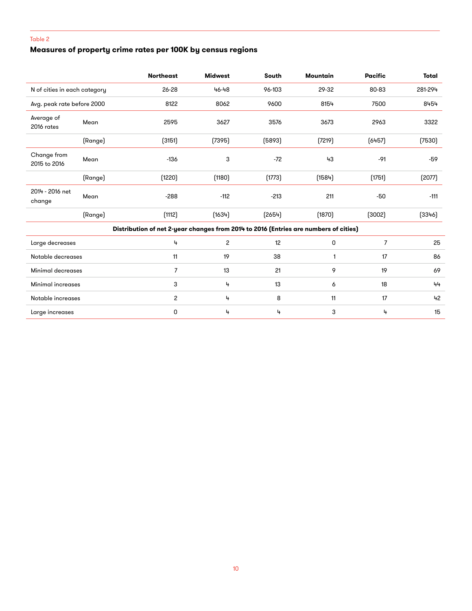# **Measures of property crime rates per 100K by census regions**

|                              |         | <b>Northeast</b>                                                                     | <b>Midwest</b> | South  | Mountain | <b>Pacific</b> | Total   |
|------------------------------|---------|--------------------------------------------------------------------------------------|----------------|--------|----------|----------------|---------|
| N of cities in each category |         | 26-28                                                                                | 46-48          | 96-103 | 29-32    | 80-83          | 281-294 |
| Avg. peak rate before 2000   |         | 8122                                                                                 | 8062           | 9600   | 8154     | 7500           | 8454    |
| Average of<br>2016 rates     | Mean    | 2595                                                                                 | 3627           | 3576   | 3673     | 2963           | 3322    |
|                              | (Range) | (3151)                                                                               | (7395)         | (5893) | (7219)   | (6457)         | (7530)  |
| Change from<br>2015 to 2016  | Mean    | $-136$                                                                               | 3              | $-72$  | 43       | $-91$          | $-59$   |
|                              | (Range) | (1220)                                                                               | (1180)         | (1773) | (1584)   | (1751)         | (2077)  |
| 2014 - 2016 net<br>change    | Mean    | $-288$                                                                               | $-112$         | $-213$ | 211      | $-50$          | $-111$  |
|                              | (Range) | (1112)                                                                               | (1634)         | (2654) | (1870)   | (3002)         | (3346)  |
|                              |         | Distribution of net 2-year changes from 2014 to 2016 (Entries are numbers of cities) |                |        |          |                |         |
| Large decreases              |         | 4                                                                                    | 2              | 12     | 0        | $\overline{7}$ | 25      |
| Notable decreases            |         | 11                                                                                   | 19             | 38     | 1        | 17             | 86      |
| Minimal decreases            |         | $\overline{7}$                                                                       | 13             | 21     | 9        | 19             | 69      |
| Minimal increases            |         | 3                                                                                    | 4              | 13     | 6        | 18             | 44      |
| Notable increases            |         | 2                                                                                    | 4              | 8      | 11       | 17             | 42      |
| Large increases              |         | 0                                                                                    | 4              | 4      | 3        | 4              | 15      |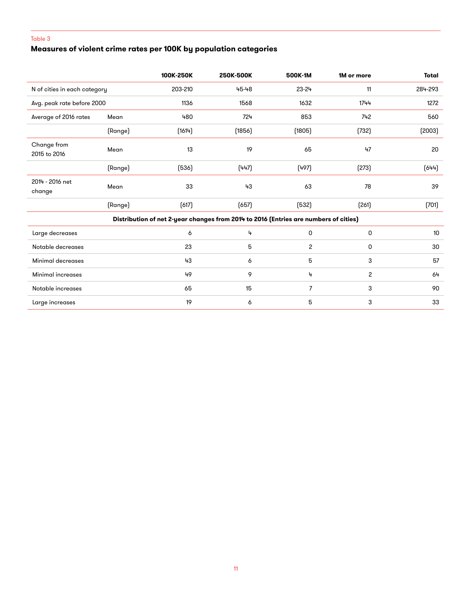# **Measures of violent crime rates per 100K by population categories**

|                              |         | 100K-250K | 250K-500K                                                                            | 500K-1M        | 1M or more     | <b>Total</b> |
|------------------------------|---------|-----------|--------------------------------------------------------------------------------------|----------------|----------------|--------------|
| N of cities in each category |         | 203-210   | 45-48                                                                                | $23 - 24$      | 11             | 284-293      |
| Avg. peak rate before 2000   |         | 1136      | 1568                                                                                 | 1632           | 1744           | 1272         |
| Average of 2016 rates        | Mean    | 480       | 724                                                                                  | 853            | 742            | 560          |
|                              | (Range) | (1614)    | (1856)                                                                               | (1805)         | (732)          | (2003)       |
| Change from<br>2015 to 2016  | Mean    | 13        | 19                                                                                   | 65             | 47             | 20           |
|                              | (Range) | (536)     | (447)                                                                                | (497)          | (273)          | (644)        |
| 2014 - 2016 net<br>change    | Mean    | 33        | 43                                                                                   | 63             | 78             | 39           |
|                              | (Range) | (617)     | (657)                                                                                | (532)          | (261)          | (701)        |
|                              |         |           | Distribution of net 2-year changes from 2014 to 2016 (Entries are numbers of cities) |                |                |              |
| Large decreases              |         | 6         | 4                                                                                    | 0              | 0              | 10           |
| Notable decreases            |         | 23        | 5                                                                                    | $\overline{c}$ | 0              | 30           |
| Minimal decreases            |         | 43        | 6                                                                                    | 5              | 3              | 57           |
| Minimal increases            |         | 49        | 9                                                                                    | 4              | $\overline{c}$ | 64           |
| Notable increases            |         | 65        | 15                                                                                   | $\overline{7}$ | 3              | 90           |
| Large increases              |         | 19        | 6                                                                                    | 5              | 3              | 33           |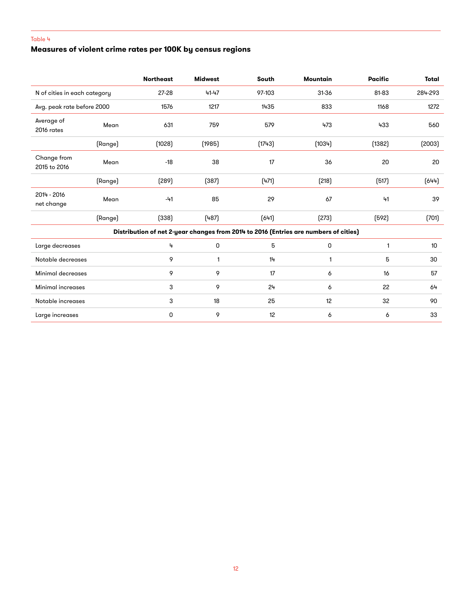# **Measures of violent crime rates per 100K by census regions**

|                              |         | <b>Northeast</b> | <b>Midwest</b> | South  | <b>Mountain</b>                                                                      | <b>Pacific</b> | Total   |
|------------------------------|---------|------------------|----------------|--------|--------------------------------------------------------------------------------------|----------------|---------|
| N of cities in each category |         | $27 - 28$        | 41-47          | 97-103 | 31-36                                                                                | 81-83          | 284-293 |
| Avg. peak rate before 2000   |         | 1576             | 1217           | 1435   | 833                                                                                  | 1168           | 1272    |
| Average of<br>2016 rates     | Mean    | 631              | 759            | 579    | 473                                                                                  | 433            | 560     |
|                              | (Range) | (1028)           | (1985)         | (1743) | (1034)                                                                               | (1382)         | (2003)  |
| Change from<br>2015 to 2016  | Mean    | $-18$            | 38             | 17     | 36                                                                                   | 20             | 20      |
|                              | (Range) | (289)            | (387)          | (471)  | (218)                                                                                | (517)          | (644)   |
| 2014 - 2016<br>net change    | Mean    | $-41$            | 85             | 29     | 67                                                                                   | 41             | 39      |
|                              | (Range) | (338)            | (487)          | (641)  | (273)                                                                                | (592)          | (701)   |
|                              |         |                  |                |        | Distribution of net 2-year changes from 2014 to 2016 (Entries are numbers of cities) |                |         |
| Large decreases              |         | 4                | 0              | 5      | 0                                                                                    | 1              | 10      |
| Notable decreases            |         | 9                | 1              | 14     | 1                                                                                    | 5              | 30      |
| Minimal decreases            |         | 9                | 9              | 17     | 6                                                                                    | 16             | 57      |
| Minimal increases            |         | 3                | 9              | 24     | 6                                                                                    | 22             | 64      |
| Notable increases            |         | 3                | 18             | 25     | 12                                                                                   | 32             | 90      |
| Large increases              |         | 0                | 9              | 12     | 6                                                                                    | 6              | 33      |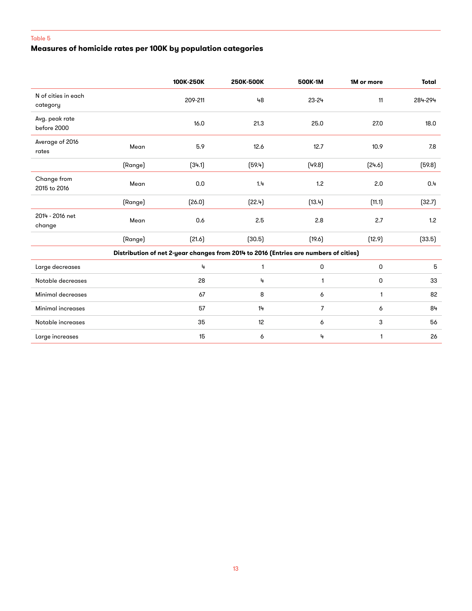### **Measures of homicide rates per 100K by population categories**

|                                 |         | 100K-250K | 250K-500K | 500K-1M                                                                              | 1M or more | Total   |
|---------------------------------|---------|-----------|-----------|--------------------------------------------------------------------------------------|------------|---------|
| N of cities in each<br>category |         | 209-211   | 48        | 23-24                                                                                | 11         | 284-294 |
| Avg. peak rate<br>before 2000   |         | 16.0      | 21.3      | 25.0                                                                                 | 27.0       | 18.0    |
| Average of 2016<br>rates        | Mean    | 5.9       | 12.6      | 12.7                                                                                 | 10.9       | 7.8     |
|                                 | (Range) | (34.1)    | (59.4)    | (49.8)                                                                               | (24.6)     | (59.8)  |
| Change from<br>2015 to 2016     | Mean    | 0.0       | 1.4       | 1.2                                                                                  | 2.0        | 0.4     |
|                                 | (Range) | (26.0)    | (22.4)    | (13.4)                                                                               | (11.1)     | (32.7)  |
| 2014 - 2016 net<br>change       | Mean    | 0.6       | 2.5       | 2.8                                                                                  | 2.7        | 1.2     |
|                                 | (Range) | [21.6]    | (30.5)    | (19.6)                                                                               | (12.9)     | (33.5)  |
|                                 |         |           |           | Distribution of net 2-year changes from 2014 to 2016 (Entries are numbers of cities) |            |         |
| Large decreases                 |         | 4         | 1         | 0                                                                                    | 0          | 5       |
| Notable decreases               |         | 28        | 4         | 1                                                                                    | 0          | 33      |
| Minimal decreases               |         | 67        | 8         | 6                                                                                    | 1          | 82      |
| <b>Minimal increases</b>        |         | 57        | 14        | $\overline{7}$                                                                       | 6          | 84      |
| Notable increases               |         | 35        | 12        | 6                                                                                    | 3          | 56      |
| Large increases                 |         | 15        | 6         | 4                                                                                    | 1          | 26      |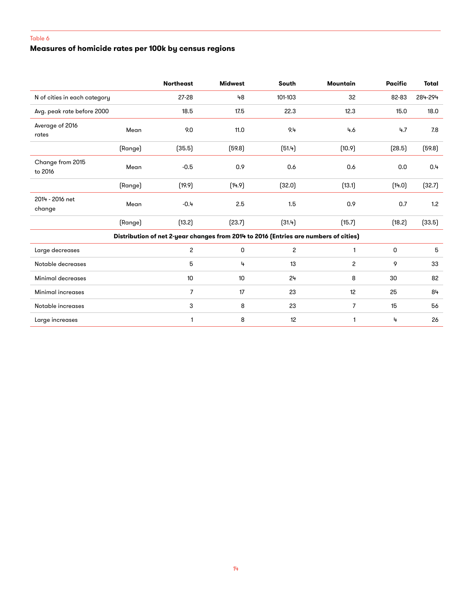# **Measures of homicide rates per 100k by census regions**

|                              |         | <b>Northeast</b> | <b>Midwest</b> | South          | Mountain                                                                             | <b>Pacific</b> | <b>Total</b> |
|------------------------------|---------|------------------|----------------|----------------|--------------------------------------------------------------------------------------|----------------|--------------|
| N of cities in each category |         | $27 - 28$        | 48             | 101-103        | 32                                                                                   | 82-83          | 284-294      |
| Avg. peak rate before 2000   |         | 18.5             | 17.5           | 22.3           | 12.3                                                                                 | 15.0           | 18.0         |
| Average of 2016<br>rates     | Mean    | 9.0              | 11.0           | 9.4            | 4.6                                                                                  | 4.7            | 7.8          |
|                              | (Range) | (35.5)           | (59.8)         | (51.4)         | (10.9)                                                                               | (28.5)         | (59.8)       |
| Change from 2015<br>to 2016  | Mean    | $-0.5$           | 0.9            | 0.6            | 0.6                                                                                  | 0.0            | 0.4          |
|                              | (Range) | (19.9)           | (14.9)         | (32.0)         | (13.1)                                                                               | (14.0)         | (32.7)       |
| 2014 - 2016 net<br>change    | Mean    | $-0.4$           | 2.5            | 1.5            | 0.9                                                                                  | 0.7            | 1.2          |
|                              | (Range) | (13.2)           | (23.7)         | (31.4)         | (15.7)                                                                               | (18.2)         | (33.5)       |
|                              |         |                  |                |                | Distribution of net 2-year changes from 2014 to 2016 (Entries are numbers of cities) |                |              |
| Large decreases              |         | $\overline{c}$   | 0              | $\overline{c}$ | 1                                                                                    | 0              | 5            |
| Notable decreases            |         | 5                | 4              | 13             | 2                                                                                    | 9              | 33           |
| Minimal decreases            |         | 10               | 10             | 24             | 8                                                                                    | 30             | 82           |
| Minimal increases            |         | $\overline{7}$   | 17             | 23             | 12                                                                                   | 25             | 84           |
| Notable increases            |         | 3                | 8              | 23             | $\overline{7}$                                                                       | 15             | 56           |
| Large increases              |         | $\mathbf{1}$     | 8              | 12             | $\mathbf{1}$                                                                         | 4              | 26           |